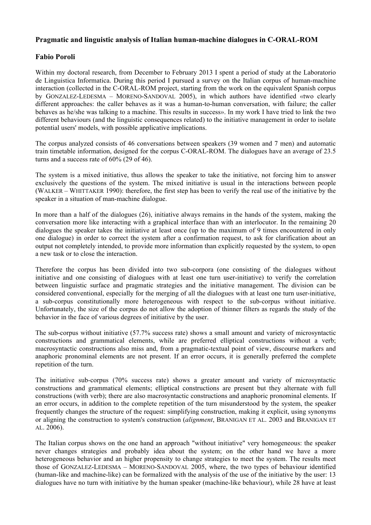## **Pragmatic and linguistic analysis of Italian human-machine dialogues in C-ORAL-ROM**

## **Fabio Poroli**

Within my doctoral research, from December to February 2013 I spent a period of study at the Laboratorio de Linguistica Informatica. During this period I pursued a survey on the Italian corpus of human-machine interaction (collected in the C-ORAL-ROM project, starting from the work on the equivalent Spanish corpus by GONZALEZ-LEDESMA – MORENO-SANDOVAL 2005), in which authors have identified «two clearly different approaches: the caller behaves as it was a human-to-human conversation, with failure; the caller behaves as he/she was talking to a machine. This results in success». In my work I have tried to link the two different behaviours (and the linguistic consequences related) to the initiative management in order to isolate potential users' models, with possible applicative implications.

The corpus analyzed consists of 46 conversations between speakers (39 women and 7 men) and automatic train timetable information, designed for the corpus C-ORAL-ROM. The dialogues have an average of 23.5 turns and a success rate of 60% (29 of 46).

The system is a mixed initiative, thus allows the speaker to take the initiative, not forcing him to answer exclusively the questions of the system. The mixed initiative is usual in the interactions between people (WALKER – WHITTAKER 1990): therefore, the first step has been to verify the real use of the initiative by the speaker in a situation of man-machine dialogue.

In more than a half of the dialogues (26), initiative always remains in the hands of the system, making the conversation more like interacting with a graphical interface than with an interlocutor. In the remaining 20 dialogues the speaker takes the initiative at least once (up to the maximum of 9 times encountered in only one dialogue) in order to correct the system after a confirmation request, to ask for clarification about an output not completely intended, to provide more information than explicitly requested by the system, to open a new task or to close the interaction.

Therefore the corpus has been divided into two sub-corpora (one consisting of the dialogues without initiative and one consisting of dialogues with at least one turn user-initiative) to verify the correlation between linguistic surface and pragmatic strategies and the initiative management. The division can be considered conventional, especially for the merging of all the dialogues with at least one turn user-initiative, a sub-corpus constitutionally more heterogeneous with respect to the sub-corpus without initiative. Unfortunately, the size of the corpus do not allow the adoption of thinner filters as regards the study of the behavior in the face of various degrees of initiative by the user.

The sub-corpus without initiative (57.7% success rate) shows a small amount and variety of microsyntactic constructions and grammatical elements, while are preferred elliptical constructions without a verb; macrosyntactic constructions also miss and, from a pragmatic-textual point of view, discourse markers and anaphoric pronominal elements are not present. If an error occurs, it is generally preferred the complete repetition of the turn.

The initiative sub-corpus (70% success rate) shows a greater amount and variety of microsyntactic constructions and grammatical elements; elliptical constructions are present but they alternate with full constructions (with verb); there are also macrosyntactic constructions and anaphoric pronominal elements. If an error occurs, in addition to the complete repetition of the turn misunderstood by the system, the speaker frequently changes the structure of the request: simplifying construction, making it explicit, using synonyms or aligning the construction to system's construction (*alignment*, BRANIGAN ET AL. 2003 and BRANIGAN ET AL. 2006).

The Italian corpus shows on the one hand an approach "without initiative" very homogeneous: the speaker never changes strategies and probably idea about the system; on the other hand we have a more heterogeneous behavior and an higher propensity to change strategies to meet the system. The results meet those of GONZALEZ-LEDESMA – MORENO-SANDOVAL 2005, where, the two types of behaviour identified (human-like and machine-like) can be formalized with the analysis of the use of the initiative by the user: 13 dialogues have no turn with initiative by the human speaker (machine-like behaviour), while 28 have at least